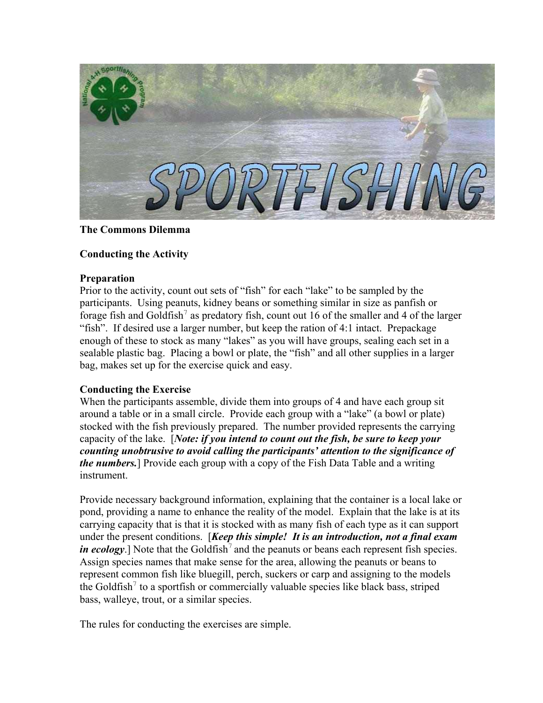

# **The Commons Dilemma**

# **Conducting the Activity**

## **Preparation**

Prior to the activity, count out sets of "fish" for each "lake" to be sampled by the participants. Using peanuts, kidney beans or something similar in size as panfish or forage fish and Goldfish<sup>7</sup> as predatory fish, count out 16 of the smaller and 4 of the larger "fish". If desired use a larger number, but keep the ration of 4:1 intact. Prepackage enough of these to stock as many "lakes" as you will have groups, sealing each set in a sealable plastic bag. Placing a bowl or plate, the "fish" and all other supplies in a larger bag, makes set up for the exercise quick and easy.

# **Conducting the Exercise**

When the participants assemble, divide them into groups of 4 and have each group sit around a table or in a small circle. Provide each group with a "lake" (a bowl or plate) stocked with the fish previously prepared. The number provided represents the carrying capacity of the lake. [*Note: if you intend to count out the fish, be sure to keep your counting unobtrusive to avoid calling the participants' attention to the significance of the numbers.*] Provide each group with a copy of the Fish Data Table and a writing instrument.

Provide necessary background information, explaining that the container is a local lake or pond, providing a name to enhance the reality of the model. Explain that the lake is at its carrying capacity that is that it is stocked with as many fish of each type as it can support under the present conditions. [*Keep this simple! It is an introduction, not a final exam in ecology*.] Note that the Goldfish<sup>7</sup> and the peanuts or beans each represent fish species. Assign species names that make sense for the area, allowing the peanuts or beans to represent common fish like bluegill, perch, suckers or carp and assigning to the models the Goldfish<sup>7</sup> to a sportfish or commercially valuable species like black bass, striped bass, walleye, trout, or a similar species.

The rules for conducting the exercises are simple.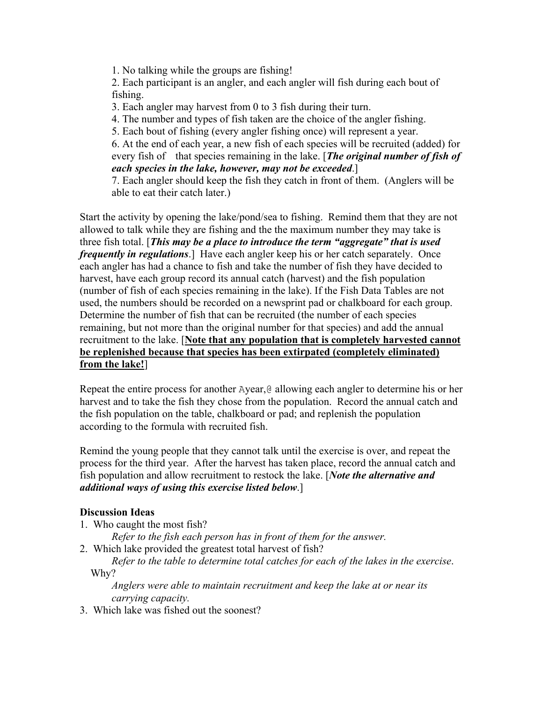1. No talking while the groups are fishing!

2. Each participant is an angler, and each angler will fish during each bout of fishing.

3. Each angler may harvest from 0 to 3 fish during their turn.

4. The number and types of fish taken are the choice of the angler fishing.

5. Each bout of fishing (every angler fishing once) will represent a year.

6. At the end of each year, a new fish of each species will be recruited (added) for every fish of that species remaining in the lake. [*The original number of fish of each species in the lake, however, may not be exceeded*.]

7. Each angler should keep the fish they catch in front of them. (Anglers will be able to eat their catch later.)

Start the activity by opening the lake/pond/sea to fishing. Remind them that they are not allowed to talk while they are fishing and the the maximum number they may take is three fish total. [*This may be a place to introduce the term "aggregate" that is used frequently in regulations*.] Have each angler keep his or her catch separately. Once each angler has had a chance to fish and take the number of fish they have decided to harvest, have each group record its annual catch (harvest) and the fish population (number of fish of each species remaining in the lake). If the Fish Data Tables are not used, the numbers should be recorded on a newsprint pad or chalkboard for each group. Determine the number of fish that can be recruited (the number of each species remaining, but not more than the original number for that species) and add the annual recruitment to the lake. [**Note that any population that is completely harvested cannot be replenished because that species has been extirpated (completely eliminated) from the lake!**]

Repeat the entire process for another Ayear,@ allowing each angler to determine his or her harvest and to take the fish they chose from the population. Record the annual catch and the fish population on the table, chalkboard or pad; and replenish the population according to the formula with recruited fish.

Remind the young people that they cannot talk until the exercise is over, and repeat the process for the third year. After the harvest has taken place, record the annual catch and fish population and allow recruitment to restock the lake. [*Note the alternative and additional ways of using this exercise listed below*.]

# **Discussion Ideas**

1. Who caught the most fish?

*Refer to the fish each person has in front of them for the answer.*

2. Which lake provided the greatest total harvest of fish?

*Refer to the table to determine total catches for each of the lakes in the exercise*. Why?

*Anglers were able to maintain recruitment and keep the lake at or near its carrying capacity.* 

3. Which lake was fished out the soonest?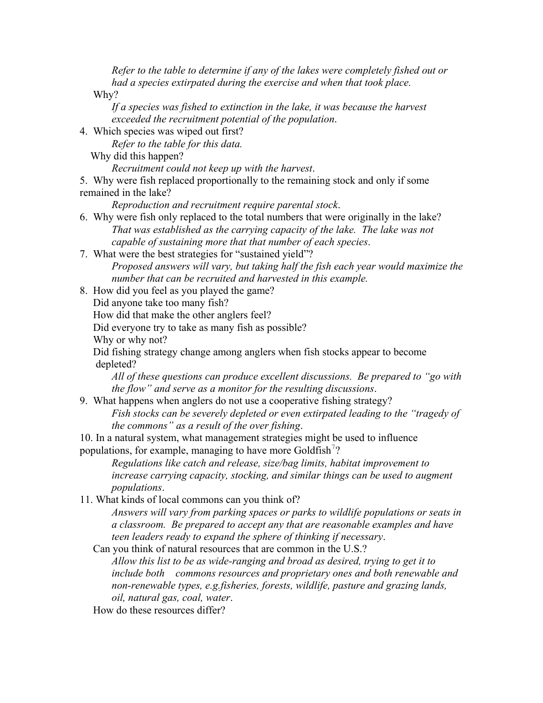*Refer to the table to determine if any of the lakes were completely fished out or had a species extirpated during the exercise and when that took place.* 

Why?

*If a species was fished to extinction in the lake, it was because the harvest exceeded the recruitment potential of the population*.

4. Which species was wiped out first?

*Refer to the table for this data.*

Why did this happen?

*Recruitment could not keep up with the harvest*.

5. Why were fish replaced proportionally to the remaining stock and only if some remained in the lake?

*Reproduction and recruitment require parental stock*.

- 6. Why were fish only replaced to the total numbers that were originally in the lake? *That was established as the carrying capacity of the lake. The lake was not capable of sustaining more that that number of each species*.
- 7. What were the best strategies for "sustained yield"? *Proposed answers will vary, but taking half the fish each year would maximize the number that can be recruited and harvested in this example.*

8. How did you feel as you played the game?

Did anyone take too many fish?

How did that make the other anglers feel?

Did everyone try to take as many fish as possible?

Why or why not?

 Did fishing strategy change among anglers when fish stocks appear to become depleted?

*All of these questions can produce excellent discussions. Be prepared to "go with the flow" and serve as a monitor for the resulting discussions*.

9. What happens when anglers do not use a cooperative fishing strategy?

*Fish stocks can be severely depleted or even extirpated leading to the "tragedy of the commons" as a result of the over fishing*.

10. In a natural system, what management strategies might be used to influence populations, for example, managing to have more Goldfish<sup>7</sup>?

*Regulations like catch and release, size/bag limits, habitat improvement to increase carrying capacity, stocking, and similar things can be used to augment populations*.

11. What kinds of local commons can you think of?

*Answers will vary from parking spaces or parks to wildlife populations or seats in a classroom. Be prepared to accept any that are reasonable examples and have teen leaders ready to expand the sphere of thinking if necessary*.

 Can you think of natural resources that are common in the U.S.? *Allow this list to be as wide-ranging and broad as desired, trying to get it to include both commons resources and proprietary ones and both renewable and non-renewable types, e.g.fisheries, forests, wildlife, pasture and grazing lands,* 

*oil, natural gas, coal, water*.

How do these resources differ?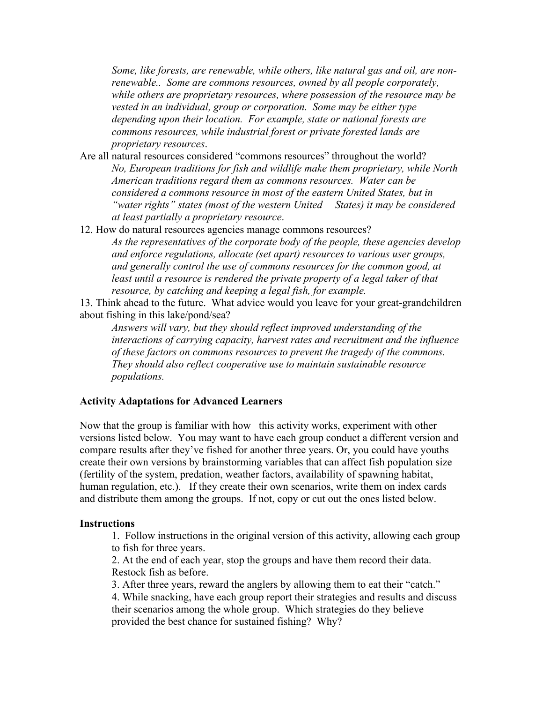*Some, like forests, are renewable, while others, like natural gas and oil, are nonrenewable.. Some are commons resources, owned by all people corporately, while others are proprietary resources, where possession of the resource may be vested in an individual, group or corporation. Some may be either type depending upon their location. For example, state or national forests are commons resources, while industrial forest or private forested lands are proprietary resources*.

- Are all natural resources considered "commons resources" throughout the world? *No, European traditions for fish and wildlife make them proprietary, while North American traditions regard them as commons resources. Water can be considered a commons resource in most of the eastern United States, but in "water rights" states (most of the western United States) it may be considered at least partially a proprietary resource*.
- 12. How do natural resources agencies manage commons resources? *As the representatives of the corporate body of the people, these agencies develop and enforce regulations, allocate (set apart) resources to various user groups, and generally control the use of commons resources for the common good, at*  least until a resource is rendered the private property of a legal taker of that *resource, by catching and keeping a legal fish, for example.*

13. Think ahead to the future. What advice would you leave for your great-grandchildren about fishing in this lake/pond/sea?

*Answers will vary, but they should reflect improved understanding of the interactions of carrying capacity, harvest rates and recruitment and the influence of these factors on commons resources to prevent the tragedy of the commons. They should also reflect cooperative use to maintain sustainable resource populations.* 

## **Activity Adaptations for Advanced Learners**

Now that the group is familiar with how this activity works, experiment with other versions listed below. You may want to have each group conduct a different version and compare results after they've fished for another three years. Or, you could have youths create their own versions by brainstorming variables that can affect fish population size (fertility of the system, predation, weather factors, availability of spawning habitat, human regulation, etc.). If they create their own scenarios, write them on index cards and distribute them among the groups. If not, copy or cut out the ones listed below.

#### **Instructions**

1. Follow instructions in the original version of this activity, allowing each group to fish for three years.

2. At the end of each year, stop the groups and have them record their data. Restock fish as before.

3. After three years, reward the anglers by allowing them to eat their "catch."

4. While snacking, have each group report their strategies and results and discuss their scenarios among the whole group. Which strategies do they believe provided the best chance for sustained fishing? Why?